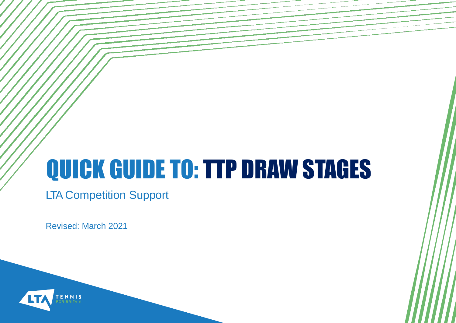# QUICK GUIDE TO: TTP DRAW STAGES

LTA Competition Support

Revised: March 2021

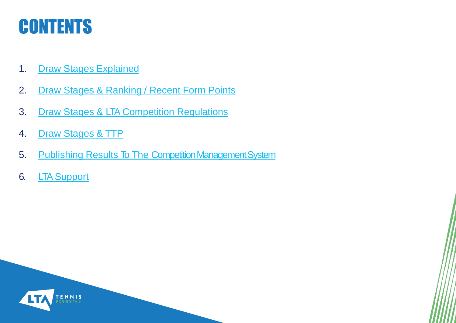#### **CONTENTS**

- 1. [Draw Stages](#page-2-0) [Explained](#page-2-0)
- 2. [Draw](#page-3-0) [Stages &](#page-3-0) [Ranking](#page-3-0) [/](#page-3-0) [Recent](#page-3-0) [Form](#page-3-0) [Points](#page-3-0)
- 3. [Draw](#page-4-0) [Stages & LTA](#page-4-0) [Competition](#page-4-0) [Regulations](#page-4-0)
- 4. [Draw](#page-5-0) [Stages](#page-5-0) [&](#page-5-0) [TTP](#page-5-0)
- 5. Publishing Results To The Competition Management System
- 6. [LTA](#page-7-0) [Support](#page-7-0)

<span id="page-1-0"></span>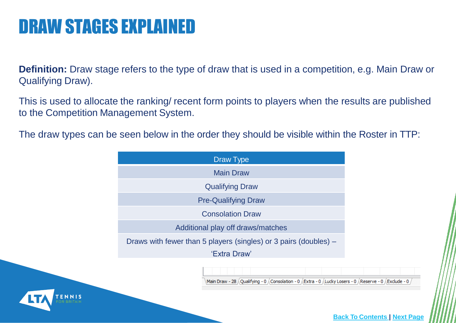#### DRAW STAGES EXPLAINED

**Definition:** Draw stage refers to the type of draw that is used in a competition, e.g. Main Draw or Qualifying Draw).

This is used to allocate the ranking/ recent form points to players when the results are published to the Competition Management System.

The draw types can be seen below in the order they should be visible within the Roster in TTP:



<span id="page-2-0"></span>

**[Back](#page-1-0) [To](#page-1-0) [Contents](#page-1-0) | [Next](#page-3-0) [Page](#page-3-0)**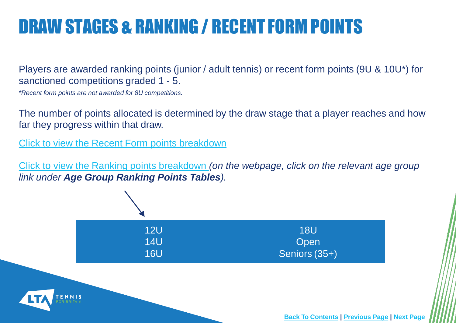# DRAW STAGES & RANKING / RECENT FORM POINTS

Players are awarded ranking points (junior / adult tennis) or recent form points (9U & 10U\*) for sanctioned competitions graded 1 - 5.

*\*Recent form points are not awarded for 8U competitions.*

The number of points allocated is determined by the draw stage that a player reaches and how far they progress within that draw.

[Click](https://www.lta.org.uk/globalassets/competitions/british-tennis-rankings/age-group-ranking-points/recent-form-ranking-points.pdf) [to](https://www.lta.org.uk/globalassets/competitions/british-tennis-rankings/age-group-ranking-points/recent-form-ranking-points.pdf) [view](https://www.lta.org.uk/globalassets/competitions/british-tennis-rankings/age-group-ranking-points/recent-form-ranking-points.pdf) [the](https://www.lta.org.uk/globalassets/competitions/british-tennis-rankings/age-group-ranking-points/recent-form-ranking-points.pdf) [Recent](https://www.lta.org.uk/globalassets/competitions/british-tennis-rankings/age-group-ranking-points/recent-form-ranking-points.pdf) [Form](https://www.lta.org.uk/globalassets/competitions/british-tennis-rankings/age-group-ranking-points/recent-form-ranking-points.pdf) [points](https://www.lta.org.uk/globalassets/competitions/british-tennis-rankings/age-group-ranking-points/recent-form-ranking-points.pdf) [breakdown](https://www.lta.org.uk/globalassets/competitions/british-tennis-rankings/age-group-ranking-points/recent-form-ranking-points.pdf)

[Click](https://www.lta.org.uk/play-compete/competing/player-ratings-rankings/lta-rankings/) [to](https://www.lta.org.uk/play-compete/competing/player-ratings-rankings/lta-rankings/) [view](https://www.lta.org.uk/play-compete/competing/player-ratings-rankings/lta-rankings/) [the Ranking](https://www.lta.org.uk/play-compete/competing/player-ratings-rankings/lta-rankings/) [points](https://www.lta.org.uk/play-compete/competing/player-ratings-rankings/lta-rankings/) [breakdown](https://www.lta.org.uk/play-compete/competing/player-ratings-rankings/lta-rankings/) *[\(](https://www.lta.org.uk/play-compete/competing/player-ratings-rankings/lta-rankings/)on the webpage, click on the relevant age group link under Age Group Ranking Points Tables).*



<span id="page-3-0"></span>

**[Back](#page-1-0) [To](#page-1-0) [Contents](#page-1-0) [|](#page-1-0) [Previous](#page-2-0) [Page](#page-2-0) | [Next](#page-4-0) [Page](#page-4-0)**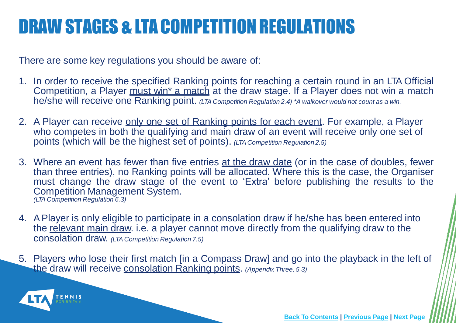# DRAW STAGES & LTACOMPETITION REGULATIONS

There are some key regulations you should be aware of:

- 1. In order to receive the specified Ranking points for reaching a certain round in an LTA Official Competition, a Player must win<sup>\*</sup> a match at the draw stage. If a Player does not win a match he/she will receive one Ranking point. *(LTA Competition Regulation 2.4) \*A walkover would not count as <sup>a</sup> win.*
- 2. A Player can receive only one set of Ranking points for each event. For example, a Player who competes in both the qualifying and main draw of an event will receive only one set of points (which will be the highest set of points). *(LTA Competition Regulation 2.5)*
- 3. Where an event has fewer than five entries at the draw date (or in the case of doubles, fewer than three entries), no Ranking points will be allocated. Where this is the case, the Organiser must change the draw stage of the event to 'Extra' before publishing the results to the Competition Management System. *(LTA Competition Regulation 6.3)*
- 4. APlayer is only eligible to participate in a consolation draw if he/she has been entered into the relevant main draw. i.e. a player cannot move directly from the qualifying draw to the consolation draw. *(LTA Competition Regulation 7.5)*
- 5. Players who lose their first match [in a Compass Draw] and go into the playback in the left of the draw will receive consolation Ranking points. *(Appendix Three, 5.3)*

<span id="page-4-0"></span>

**[Back](#page-1-0) [To](#page-1-0) [Contents](#page-1-0) [|](#page-1-0) [Previous](#page-2-0) [Page](#page-2-0) | [Next](#page-4-0) [Page](#page-4-0)**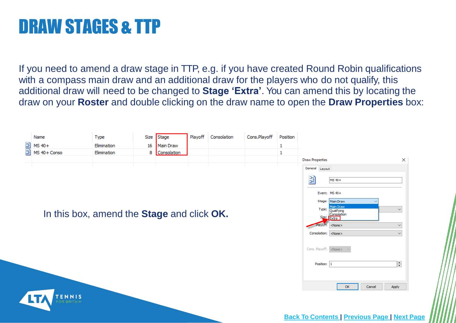# DRAW STAGES & TTP

If you need to amend a draw stage in TTP, e.g. if you have created Round Robin qualifications with a compass main draw and an additional draw for the players who do not qualify, this additional draw will need to be changed to **Stage 'Extra'**. You can amend this by locating the draw on your **Roster** and double clicking on the draw name to open the **Draw Properties** box:

<span id="page-5-0"></span>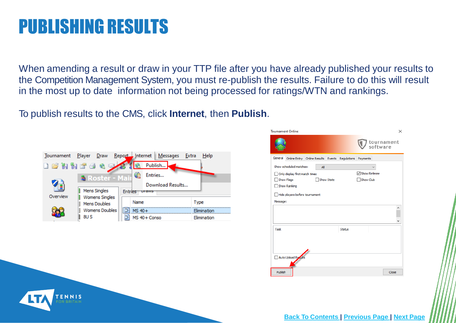#### PUBLISHING RESULTS

<span id="page-6-0"></span>ENNIS

When amending a result or draw in your TTP file after you have already published your results to the Competition Management System, you must re-publish the results. Failure to do this will result in the most up to date information not being processed for ratings/WTN and rankings.

To publish results to the CMS, click **Internet**, then **Publish**.